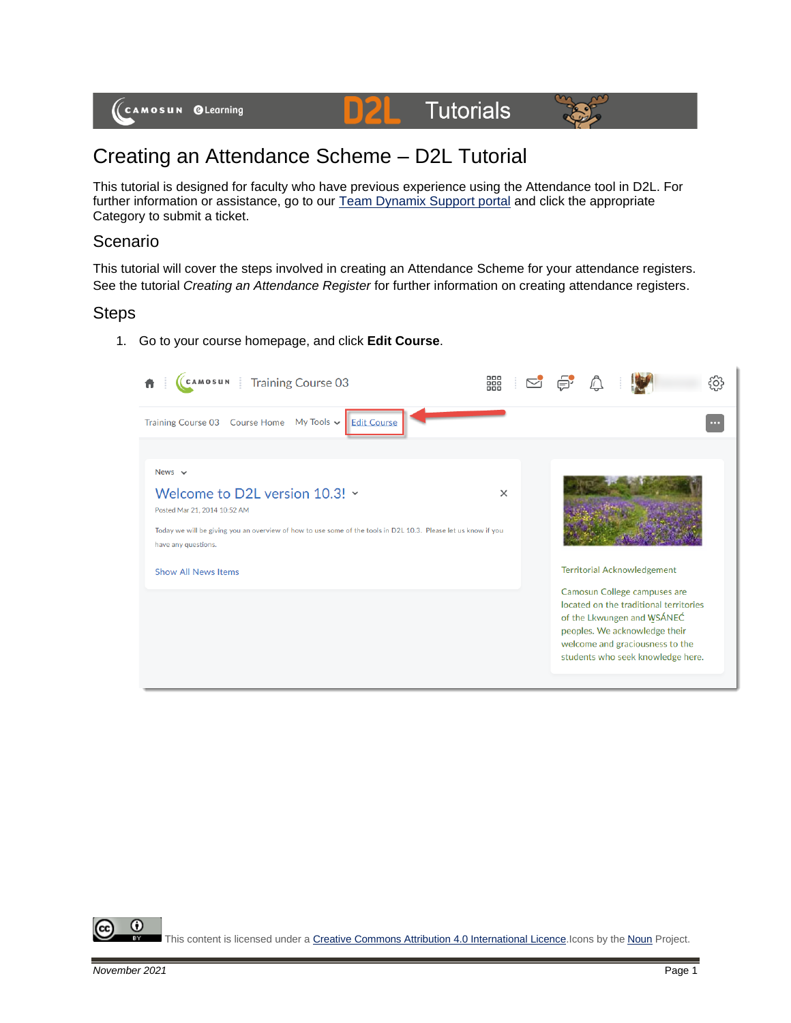

# Creating an Attendance Scheme – D2L Tutorial

This tutorial is designed for faculty who have previous experience using the Attendance tool in D2L. For further information or assistance, go to our **Team Dynamix Support portal** and click the appropriate Category to submit a ticket.

# Scenario

This tutorial will cover the steps involved in creating an Attendance Scheme for your attendance registers. See the tutorial *Creating an Attendance Register* for further information on creating attendance registers.

# Steps

1. Go to your course homepage, and click **Edit Course**.

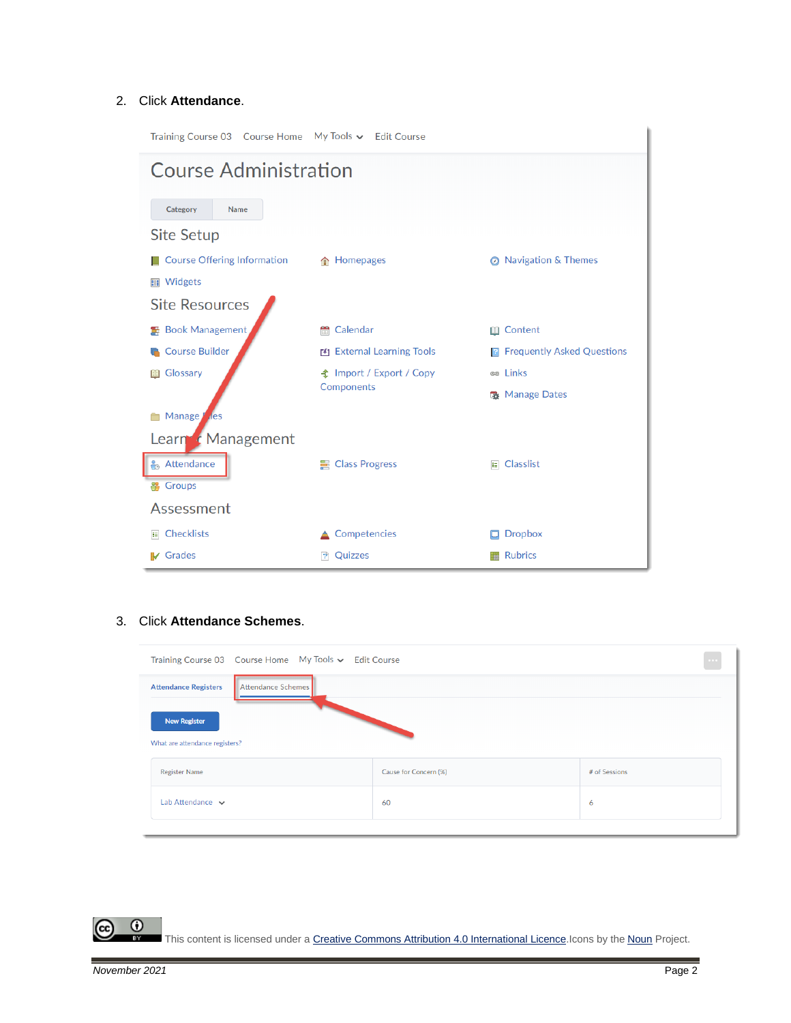### 2. Click **Attendance**.

| Training Course 03  Course Home  My Tools v  Edit Course |                                               |                                     |  |  |  |  |  |  |
|----------------------------------------------------------|-----------------------------------------------|-------------------------------------|--|--|--|--|--|--|
| <b>Course Administration</b>                             |                                               |                                     |  |  |  |  |  |  |
| Category<br><b>Name</b>                                  |                                               |                                     |  |  |  |  |  |  |
| <b>Site Setup</b>                                        |                                               |                                     |  |  |  |  |  |  |
| <b>Course Offering Information</b>                       | 合 Homepages                                   | ◎ Navigation & Themes               |  |  |  |  |  |  |
| <b>■ Widgets</b>                                         |                                               |                                     |  |  |  |  |  |  |
| <b>Site Resources</b>                                    |                                               |                                     |  |  |  |  |  |  |
| <b>Book Management</b>                                   | Calendar<br>m                                 | <b>Content</b>                      |  |  |  |  |  |  |
| <b>Course Builder</b>                                    | <b>External Learning Tools</b>                | <b>R</b> Frequently Asked Questions |  |  |  |  |  |  |
| Glossary<br>BO                                           | <b>全</b> Import / Export / Copy<br>Components | e Links                             |  |  |  |  |  |  |
|                                                          |                                               | <b>R</b> Manage Dates               |  |  |  |  |  |  |
| <b>Manage</b><br>les                                     |                                               |                                     |  |  |  |  |  |  |
| Learn & Management                                       |                                               |                                     |  |  |  |  |  |  |
| <b>&amp;</b> Attendance                                  | ■ Class Progress                              | E Classlist                         |  |  |  |  |  |  |
| <b>等 Groups</b>                                          |                                               |                                     |  |  |  |  |  |  |
| Assessment                                               |                                               |                                     |  |  |  |  |  |  |
| Checklists<br>冒                                          | Competencies                                  | <b>Dropbox</b>                      |  |  |  |  |  |  |
| <b>IV</b> Grades                                         | Quizzes<br>I۴                                 | <b>Rubrics</b>                      |  |  |  |  |  |  |

### 3. Click **Attendance Schemes**.

| Training Course 03  Course Home  My Tools v  Edit Course |                       |               |  |  |  |  |
|----------------------------------------------------------|-----------------------|---------------|--|--|--|--|
| Attendance Schemes<br><b>Attendance Registers</b>        |                       |               |  |  |  |  |
| <b>New Register</b><br>What are attendance registers?    |                       |               |  |  |  |  |
| <b>Register Name</b>                                     | Cause for Concern (%) | # of Sessions |  |  |  |  |
| Lab Attendance $\sim$                                    | 60                    | 6             |  |  |  |  |
|                                                          |                       |               |  |  |  |  |

This content is licensed under [a Creative Commons Attribution 4.0 International Licence.I](https://creativecommons.org/licenses/by/4.0/)cons by the [Noun](https://creativecommons.org/website-icons/) Project.

 $\odot$ 

 $\odot$